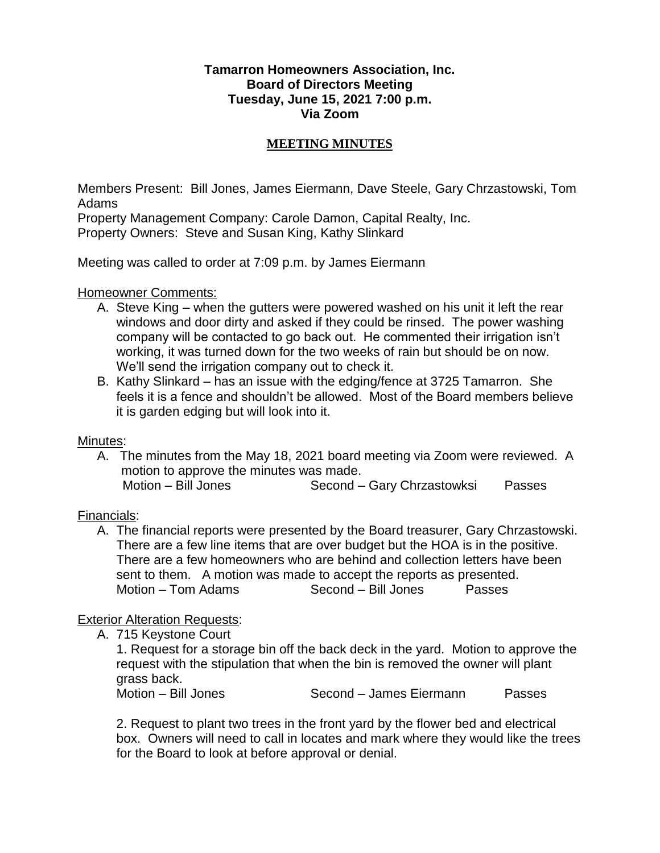#### **Tamarron Homeowners Association, Inc. Board of Directors Meeting Tuesday, June 15, 2021 7:00 p.m. Via Zoom**

#### **MEETING MINUTES**

Members Present: Bill Jones, James Eiermann, Dave Steele, Gary Chrzastowski, Tom Adams

Property Management Company: Carole Damon, Capital Realty, Inc. Property Owners: Steve and Susan King, Kathy Slinkard

Meeting was called to order at 7:09 p.m. by James Eiermann

#### Homeowner Comments:

- A. Steve King when the gutters were powered washed on his unit it left the rear windows and door dirty and asked if they could be rinsed. The power washing company will be contacted to go back out. He commented their irrigation isn't working, it was turned down for the two weeks of rain but should be on now. We'll send the irrigation company out to check it.
- B. Kathy Slinkard has an issue with the edging/fence at 3725 Tamarron. She feels it is a fence and shouldn't be allowed. Most of the Board members believe it is garden edging but will look into it.

#### Minutes:

A. The minutes from the May 18, 2021 board meeting via Zoom were reviewed. A motion to approve the minutes was made.

Motion – Bill Jones Second – Gary Chrzastowksi Passes

## Financials:

A. The financial reports were presented by the Board treasurer, Gary Chrzastowski. There are a few line items that are over budget but the HOA is in the positive. There are a few homeowners who are behind and collection letters have been sent to them. A motion was made to accept the reports as presented. Motion – Tom Adams Second – Bill Jones Passes

## Exterior Alteration Requests:

A. 715 Keystone Court

1. Request for a storage bin off the back deck in the yard. Motion to approve the request with the stipulation that when the bin is removed the owner will plant grass back.<br>Motion – Bill Jones

Second – James Eiermann Passes

2. Request to plant two trees in the front yard by the flower bed and electrical box. Owners will need to call in locates and mark where they would like the trees for the Board to look at before approval or denial.